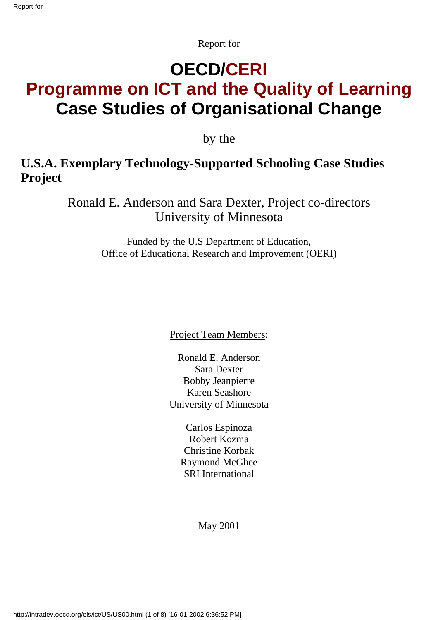Report for

# **OECD/CERI Programme on ICT and the Quality of Learning Case Studies of Organisational Change**

by the

#### **U.S.A. Exemplary Technology-Supported Schooling Case Studies Project**

Ronald E. Anderson and Sara Dexter, Project co-directors University of Minnesota

> Funded by the U.S Department of Education, Office of Educational Research and Improvement (OERI)

> > Project Team Members:

Ronald E. Anderson Sara Dexter Bobby Jeanpierre Karen Seashore University of Minnesota

> Carlos Espinoza Robert Kozma Christine Korbak Raymond McGhee SRI International

> > May 2001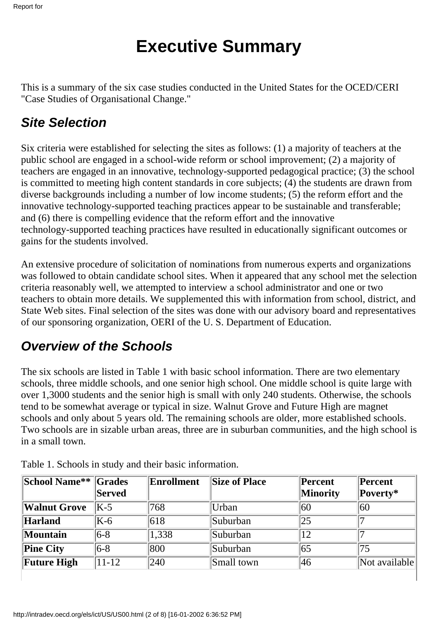# **Executive Summary**

This is a summary of the six case studies conducted in the United States for the OCED/CERI "Case Studies of Organisational Change."

### *Site Selection*

Six criteria were established for selecting the sites as follows: (1) a majority of teachers at the public school are engaged in a school-wide reform or school improvement; (2) a majority of teachers are engaged in an innovative, technology-supported pedagogical practice; (3) the school is committed to meeting high content standards in core subjects; (4) the students are drawn from diverse backgrounds including a number of low income students; (5) the reform effort and the innovative technology-supported teaching practices appear to be sustainable and transferable; and (6) there is compelling evidence that the reform effort and the innovative technology-supported teaching practices have resulted in educationally significant outcomes or gains for the students involved.

An extensive procedure of solicitation of nominations from numerous experts and organizations was followed to obtain candidate school sites. When it appeared that any school met the selection criteria reasonably well, we attempted to interview a school administrator and one or two teachers to obtain more details. We supplemented this with information from school, district, and State Web sites. Final selection of the sites was done with our advisory board and representatives of our sponsoring organization, OERI of the U. S. Department of Education.

# *Overview of the Schools*

The six schools are listed in Table 1 with basic school information. There are two elementary schools, three middle schools, and one senior high school. One middle school is quite large with over 1,3000 students and the senior high is small with only 240 students. Otherwise, the schools tend to be somewhat average or typical in size. Walnut Grove and Future High are magnet schools and only about 5 years old. The remaining schools are older, more established schools. Two schools are in sizable urban areas, three are in suburban communities, and the high school is in a small town.

| School Name** Grades | Served    | Enrollment | <b>Size of Place</b> | Percent<br><b>Minority</b> | Percent<br>Poverty* |
|----------------------|-----------|------------|----------------------|----------------------------|---------------------|
| <b>Walnut Grove</b>  | $K-5$     | 768        | Urban                | 60                         | 60                  |
| Harland              | $K-6$     | 618        | Suburban             | 25                         |                     |
| <b>Mountain</b>      | $ 6-8 $   | 1,338      | Suburban             | 12                         |                     |
| <b>Pine City</b>     | $ 6-8 $   | 800        | Suburban             | 65                         | 75                  |
| <b>Future High</b>   | $11 - 12$ | 240        | Small town           | 46                         | Not available       |
|                      |           |            |                      |                            |                     |

Table 1. Schools in study and their basic information.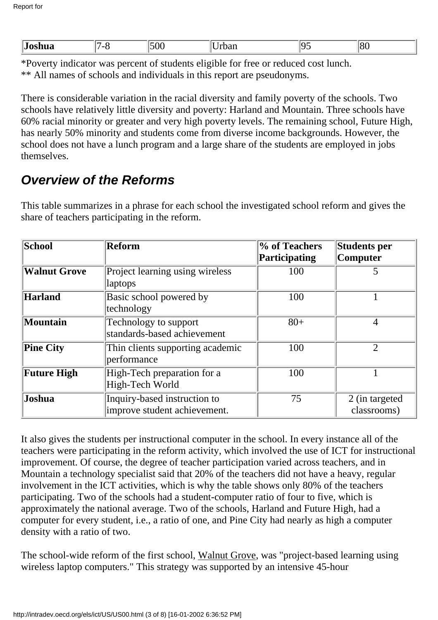\*Poverty indicator was percent of students eligible for free or reduced cost lunch. \*\* All names of schools and individuals in this report are pseudonyms.

There is considerable variation in the racial diversity and family poverty of the schools. Two schools have relatively little diversity and poverty: Harland and Mountain. Three schools have 60% racial minority or greater and very high poverty levels. The remaining school, Future High, has nearly 50% minority and students come from diverse income backgrounds. However, the school does not have a lunch program and a large share of the students are employed in jobs themselves.

#### *Overview of the Reforms*

This table summarizes in a phrase for each school the investigated school reform and gives the share of teachers participating in the reform.

| School              | Reform                           | % of Teachers | Students per    |
|---------------------|----------------------------------|---------------|-----------------|
|                     |                                  | Participating | <b>Computer</b> |
| <b>Walnut Grove</b> | Project learning using wireless  | 100           |                 |
|                     | laptops                          |               |                 |
| Harland             | Basic school powered by          | 100           |                 |
|                     | technology                       |               |                 |
| Mountain            | Technology to support            | $80+$         | $\overline{4}$  |
|                     | standards-based achievement      |               |                 |
| <b>Pine City</b>    | Thin clients supporting academic | 100           | $\overline{2}$  |
|                     | performance                      |               |                 |
| <b>Future High</b>  | High-Tech preparation for a      | 100           |                 |
|                     | High-Tech World                  |               |                 |
| <b>Joshua</b>       | Inquiry-based instruction to     | 75            | 2 (in targeted) |
|                     | improve student achievement.     |               | classrooms)     |

It also gives the students per instructional computer in the school. In every instance all of the teachers were participating in the reform activity, which involved the use of ICT for instructional improvement. Of course, the degree of teacher participation varied across teachers, and in Mountain a technology specialist said that 20% of the teachers did not have a heavy, regular involvement in the ICT activities, which is why the table shows only 80% of the teachers participating. Two of the schools had a student-computer ratio of four to five, which is approximately the national average. Two of the schools, Harland and Future High, had a computer for every student, i.e., a ratio of one, and Pine City had nearly as high a computer density with a ratio of two.

The school-wide reform of the first school, Walnut Grove, was "project-based learning using wireless laptop computers." This strategy was supported by an intensive 45-hour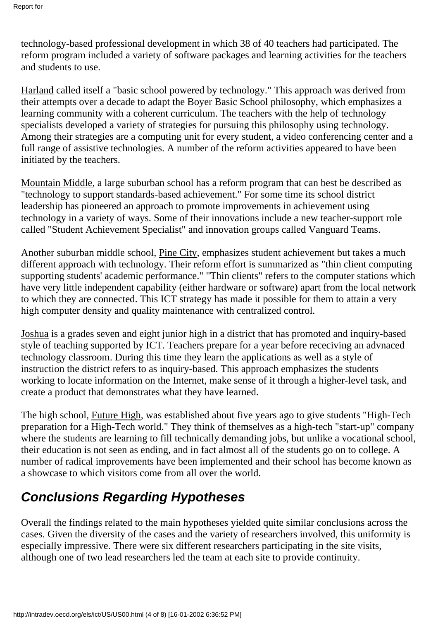technology-based professional development in which 38 of 40 teachers had participated. The reform program included a variety of software packages and learning activities for the teachers and students to use.

Harland called itself a "basic school powered by technology." This approach was derived from their attempts over a decade to adapt the Boyer Basic School philosophy, which emphasizes a learning community with a coherent curriculum. The teachers with the help of technology specialists developed a variety of strategies for pursuing this philosophy using technology. Among their strategies are a computing unit for every student, a video conferencing center and a full range of assistive technologies. A number of the reform activities appeared to have been initiated by the teachers.

Mountain Middle, a large suburban school has a reform program that can best be described as "technology to support standards-based achievement." For some time its school district leadership has pioneered an approach to promote improvements in achievement using technology in a variety of ways. Some of their innovations include a new teacher-support role called "Student Achievement Specialist" and innovation groups called Vanguard Teams.

Another suburban middle school, Pine City, emphasizes student achievement but takes a much different approach with technology. Their reform effort is summarized as "thin client computing supporting students' academic performance." "Thin clients" refers to the computer stations which have very little independent capability (either hardware or software) apart from the local network to which they are connected. This ICT strategy has made it possible for them to attain a very high computer density and quality maintenance with centralized control.

Joshua is a grades seven and eight junior high in a district that has promoted and inquiry-based style of teaching supported by ICT. Teachers prepare for a year before receciving an advnaced technology classroom. During this time they learn the applications as well as a style of instruction the district refers to as inquiry-based. This approach emphasizes the students working to locate information on the Internet, make sense of it through a higher-level task, and create a product that demonstrates what they have learned.

The high school, Future High, was established about five years ago to give students "High-Tech preparation for a High-Tech world." They think of themselves as a high-tech "start-up" company where the students are learning to fill technically demanding jobs, but unlike a vocational school, their education is not seen as ending, and in fact almost all of the students go on to college. A number of radical improvements have been implemented and their school has become known as a showcase to which visitors come from all over the world.

# *Conclusions Regarding Hypotheses*

Overall the findings related to the main hypotheses yielded quite similar conclusions across the cases. Given the diversity of the cases and the variety of researchers involved, this uniformity is especially impressive. There were six different researchers participating in the site visits, although one of two lead researchers led the team at each site to provide continuity.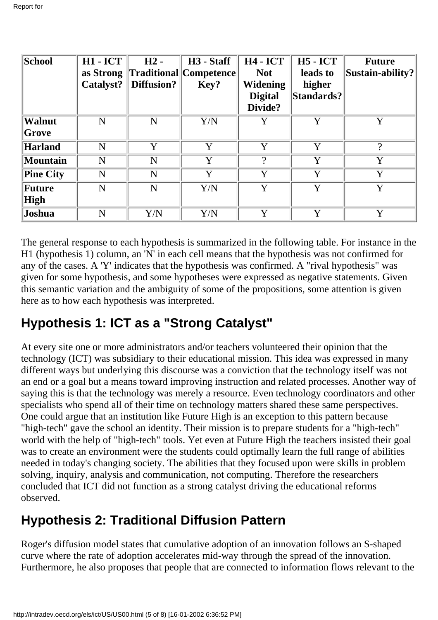| School           | <b>H1 - ICT</b> | $H2 -$      | H <sub>3</sub> - Staff  | <b>H4 - ICT</b> | <b>H5</b> - <b>ICT</b> | <b>Future</b>                                    |
|------------------|-----------------|-------------|-------------------------|-----------------|------------------------|--------------------------------------------------|
|                  | as Strong       |             | Traditional  Competence | <b>Not</b>      | leads to               | $\left\Vert \text{Sustain-ability?} \right\Vert$ |
|                  | Catalyst?       | Diffusion?  | Key?                    | Widening        | higher                 |                                                  |
|                  |                 |             |                         | <b>Digital</b>  | Standards?             |                                                  |
|                  |                 |             |                         | Divide?         |                        |                                                  |
| Walnut           | N               | N           | Y/N                     | Y               | Y                      | Y                                                |
| Grove            |                 |             |                         |                 |                        |                                                  |
| Harland          | N               | Y           | Y                       | Y               | Y                      | $\Omega$                                         |
| Mountain         | N               | N           | Y                       | 9               | Y                      | Y                                                |
| <b>Pine City</b> | N               | N           | Y                       | Y               | Y                      | Y                                                |
| Future           | N               | N           | Y/N                     | Y               | Y                      | Y                                                |
| High             |                 |             |                         |                 |                        |                                                  |
| Joshua           | N               | ${\rm Y/N}$ | Y/N                     | v               | $\mathbf v$            | $\mathbf v$                                      |

The general response to each hypothesis is summarized in the following table. For instance in the H1 (hypothesis 1) column, an 'N' in each cell means that the hypothesis was not confirmed for any of the cases. A 'Y' indicates that the hypothesis was confirmed. A "rival hypothesis" was given for some hypothesis, and some hypotheses were expressed as negative statements. Given this semantic variation and the ambiguity of some of the propositions, some attention is given here as to how each hypothesis was interpreted.

# **Hypothesis 1: ICT as a "Strong Catalyst"**

At every site one or more administrators and/or teachers volunteered their opinion that the technology (ICT) was subsidiary to their educational mission. This idea was expressed in many different ways but underlying this discourse was a conviction that the technology itself was not an end or a goal but a means toward improving instruction and related processes. Another way of saying this is that the technology was merely a resource. Even technology coordinators and other specialists who spend all of their time on technology matters shared these same perspectives. One could argue that an institution like Future High is an exception to this pattern because "high-tech" gave the school an identity. Their mission is to prepare students for a "high-tech" world with the help of "high-tech" tools. Yet even at Future High the teachers insisted their goal was to create an environment were the students could optimally learn the full range of abilities needed in today's changing society. The abilities that they focused upon were skills in problem solving, inquiry, analysis and communication, not computing. Therefore the researchers concluded that ICT did not function as a strong catalyst driving the educational reforms observed.

# **Hypothesis 2: Traditional Diffusion Pattern**

Roger's diffusion model states that cumulative adoption of an innovation follows an S-shaped curve where the rate of adoption accelerates mid-way through the spread of the innovation. Furthermore, he also proposes that people that are connected to information flows relevant to the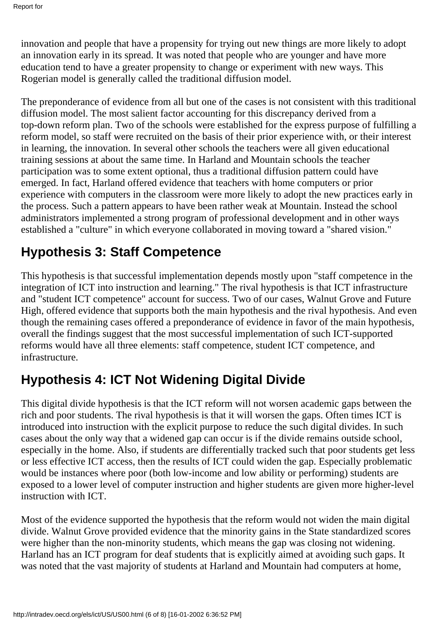innovation and people that have a propensity for trying out new things are more likely to adopt an innovation early in its spread. It was noted that people who are younger and have more education tend to have a greater propensity to change or experiment with new ways. This Rogerian model is generally called the traditional diffusion model.

The preponderance of evidence from all but one of the cases is not consistent with this traditional diffusion model. The most salient factor accounting for this discrepancy derived from a top-down reform plan. Two of the schools were established for the express purpose of fulfilling a reform model, so staff were recruited on the basis of their prior experience with, or their interest in learning, the innovation. In several other schools the teachers were all given educational training sessions at about the same time. In Harland and Mountain schools the teacher participation was to some extent optional, thus a traditional diffusion pattern could have emerged. In fact, Harland offered evidence that teachers with home computers or prior experience with computers in the classroom were more likely to adopt the new practices early in the process. Such a pattern appears to have been rather weak at Mountain. Instead the school administrators implemented a strong program of professional development and in other ways established a "culture" in which everyone collaborated in moving toward a "shared vision."

### **Hypothesis 3: Staff Competence**

This hypothesis is that successful implementation depends mostly upon "staff competence in the integration of ICT into instruction and learning." The rival hypothesis is that ICT infrastructure and "student ICT competence" account for success. Two of our cases, Walnut Grove and Future High, offered evidence that supports both the main hypothesis and the rival hypothesis. And even though the remaining cases offered a preponderance of evidence in favor of the main hypothesis, overall the findings suggest that the most successful implementation of such ICT-supported reforms would have all three elements: staff competence, student ICT competence, and infrastructure.

# **Hypothesis 4: ICT Not Widening Digital Divide**

This digital divide hypothesis is that the ICT reform will not worsen academic gaps between the rich and poor students. The rival hypothesis is that it will worsen the gaps. Often times ICT is introduced into instruction with the explicit purpose to reduce the such digital divides. In such cases about the only way that a widened gap can occur is if the divide remains outside school, especially in the home. Also, if students are differentially tracked such that poor students get less or less effective ICT access, then the results of ICT could widen the gap. Especially problematic would be instances where poor (both low-income and low ability or performing) students are exposed to a lower level of computer instruction and higher students are given more higher-level instruction with ICT.

Most of the evidence supported the hypothesis that the reform would not widen the main digital divide. Walnut Grove provided evidence that the minority gains in the State standardized scores were higher than the non-minority students, which means the gap was closing not widening. Harland has an ICT program for deaf students that is explicitly aimed at avoiding such gaps. It was noted that the vast majority of students at Harland and Mountain had computers at home,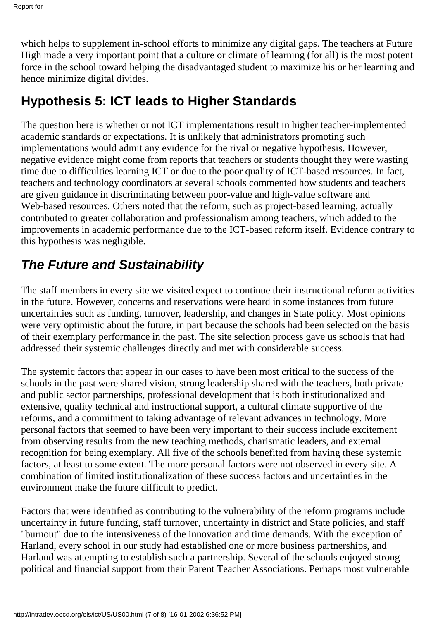which helps to supplement in-school efforts to minimize any digital gaps. The teachers at Future High made a very important point that a culture or climate of learning (for all) is the most potent force in the school toward helping the disadvantaged student to maximize his or her learning and hence minimize digital divides.

### **Hypothesis 5: ICT leads to Higher Standards**

The question here is whether or not ICT implementations result in higher teacher-implemented academic standards or expectations. It is unlikely that administrators promoting such implementations would admit any evidence for the rival or negative hypothesis. However, negative evidence might come from reports that teachers or students thought they were wasting time due to difficulties learning ICT or due to the poor quality of ICT-based resources. In fact, teachers and technology coordinators at several schools commented how students and teachers are given guidance in discriminating between poor-value and high-value software and Web-based resources. Others noted that the reform, such as project-based learning, actually contributed to greater collaboration and professionalism among teachers, which added to the improvements in academic performance due to the ICT-based reform itself. Evidence contrary to this hypothesis was negligible.

# *The Future and Sustainability*

The staff members in every site we visited expect to continue their instructional reform activities in the future. However, concerns and reservations were heard in some instances from future uncertainties such as funding, turnover, leadership, and changes in State policy. Most opinions were very optimistic about the future, in part because the schools had been selected on the basis of their exemplary performance in the past. The site selection process gave us schools that had addressed their systemic challenges directly and met with considerable success.

The systemic factors that appear in our cases to have been most critical to the success of the schools in the past were shared vision, strong leadership shared with the teachers, both private and public sector partnerships, professional development that is both institutionalized and extensive, quality technical and instructional support, a cultural climate supportive of the reforms, and a commitment to taking advantage of relevant advances in technology. More personal factors that seemed to have been very important to their success include excitement from observing results from the new teaching methods, charismatic leaders, and external recognition for being exemplary. All five of the schools benefited from having these systemic factors, at least to some extent. The more personal factors were not observed in every site. A combination of limited institutionalization of these success factors and uncertainties in the environment make the future difficult to predict.

Factors that were identified as contributing to the vulnerability of the reform programs include uncertainty in future funding, staff turnover, uncertainty in district and State policies, and staff "burnout" due to the intensiveness of the innovation and time demands. With the exception of Harland, every school in our study had established one or more business partnerships, and Harland was attempting to establish such a partnership. Several of the schools enjoyed strong political and financial support from their Parent Teacher Associations. Perhaps most vulnerable